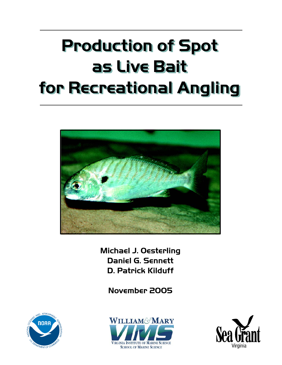# **Production of Spot Production of Spot as Live Bait as Live Bait for Recreational Angling for Recreational Angling**



**Michael J. Oesterling Daniel G. Sennett D. Patrick Kilduff**

**November 2005**





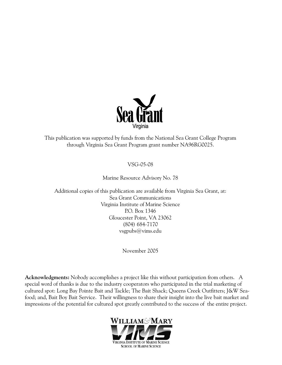

This publication was supported by funds from the National Sea Grant College Program through Virginia Sea Grant Program grant number NA96RG0025.

#### VSG-05-08

#### Marine Resource Advisory No. 78

Additional copies of this publication are available from Virginia Sea Grant, at: Sea Grant Communications Virginia Institute of Marine Science P.O. Box 1346 Gloucester Point, VA 23062 (804) 684-7170 vsgpubs@vims.edu

November 2005

**Acknowledgments:** Nobody accomplishes a project like this without participation from others. A special word of thanks is due to the industry cooperators who participated in the trial marketing of cultured spot: Long Bay Pointe Bait and Tackle; The Bait Shack; Queens Creek Outfitters; J&W Seafood; and, Bait Boy Bait Service. Their willingness to share their insight into the live bait market and impressions of the potential for cultured spot greatly contributed to the success of the entire project.

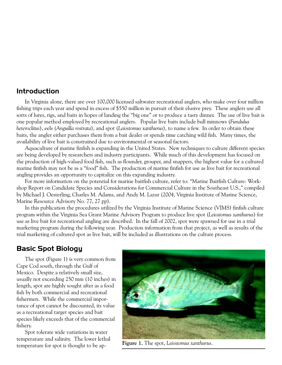### **Introduction**

In Virginia alone, there are over 100,000 licensed saltwater recreational anglers, who make over four million fishing trips each year and spend in excess of \$550 million in pursuit of their elusive prey. These anglers use all sorts of lures, rigs, and baits in hopes of landing the "big one" or to produce a tasty dinner. The use of live bait is one popular method employed by recreational anglers. Popular live baits include bull minnows (*Fundulus heteroclitus*), eels (*Anguilla rostrata*), and spot (*Leiostomus xanthurus*), to name a few. In order to obtain these baits, the angler either purchases them from a bait dealer or spends time catching wild fish. Many times, the availability of live bait is constrained due to environmental or seasonal factors.

Aquaculture of marine finfish is expanding in the United States. New techniques to culture different species are being developed by researchers and industry participants. While much of this development has focused on the production of high-valued food fish, such as flounder, grouper, and snappers, the highest value for a cultured marine finfish may not be as a "food" fish. The production of marine finfish for use as live bait for recreational angling provides an opportunity to capitalize on this expanding industry.

For more information on the potential for marine baitfish culture, refer to: "Marine Baitfish Culture: Workshop Report on Candidate Species and Considerations for Commercial Culture in the Southeast U.S.," compiled by Michael J. Oesterling, Charles M. Adams, and Andy M. Lazur (2004, Virginia Institute of Marine Science, Marine Resource Advisory No. 77, 27 pp).

In this publication the procedures utilized by the Virginia Institute of Marine Science (VIMS) finfish culture program within the Virginia Sea Grant Marine Advisory Program to produce live spot (*Leiostomus xanthurus*) for use as live bait for recreational angling are described. In the fall of 2002, spot were spawned for use in a trial marketing program during the following year. Production information from that project, as well as results of the trial marketing of cultured spot as live bait, will be included as illustrations on the culture process.

# **Basic Spot Biology**

The spot (Figure 1) is very common from Cape Cod south, through the Gulf of Mexico. Despite a relatively small size, usually not exceeding 250 mm (10 inches) in length, spot are highly sought after as a food fish by both commercial and recreational fishermen. While the commercial importance of spot cannot be discounted, its value as a recreational target species and bait species likely exceeds that of the commercial fishery.

Spot tolerate wide variations in water temperature and salinity. The lower lethal temperature for spot is thought to be ap- **Figure 1.** The spot, *Leiostomus xanthurus*.

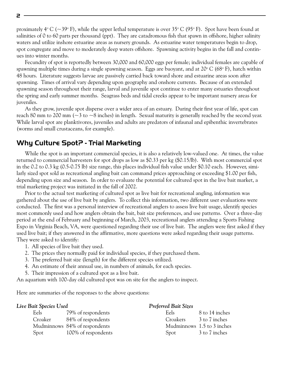proximately 4° C (~39° F), while the upper lethal temperature is over 35° C (95° F). Spot have been found at salinities of 0 to 60 parts per thousand (ppt). They are catadromous fish that spawn in offshore, higher salinity waters and utilize inshore estuarine areas as nursery grounds. As estuarine water temperatures begin to drop, spot congregate and move to moderately deep waters offshore. Spawning activity begins in the fall and continues into winter months.

Fecundity of spot is reportedly between 30,000 and 60,000 eggs per female; individual females are capable of spawning multiple times during a single spawning season. Eggs are buoyant, and at 20° C (68° F), hatch within 48 hours. Literature suggests larvae are passively carried back toward shore and estuarine areas soon after spawning. Times of arrival vary depending upon geography and onshore currents. Because of an extended spawning season throughout their range, larval and juvenile spot continue to enter many estuaries throughout the spring and early summer months. Seagrass beds and tidal creeks appear to be important nursery areas for juveniles.

As they grow, juvenile spot disperse over a wider area of an estuary. During their first year of life, spot can reach 80 mm to 200 mm ( $\sim$ 3 to  $\sim$ 8 inches) in length. Sexual maturity is generally reached by the second year. While larval spot are planktivores, juveniles and adults are predators of infaunal and epibenthic invertebrates (worms and small crustaceans, for example).

### **Why Culture Spot? - Trial Marketing**

While the spot is an important commercial species, it is also a relatively low-valued one. At times, the value returned to commercial harvesters for spot drops as low as \$0.33 per kg (\$0.15/lb). With most commercial spot in the 0.2 to 0.3 kg (0.5-0.75 lb) size range, this places individual fish value under \$0.10 each. However, similarly sized spot sold as recreational angling bait can command prices approaching or exceeding \$1.00 per fish, depending upon size and season. In order to evaluate the potential for cultured spot in the live bait market, a trial marketing project was initiated in the fall of 2002.

Prior to the actual test marketing of cultured spot as live bait for recreational angling, information was gathered about the use of live bait by anglers. To collect this information, two different user evaluations were conducted. The first was a personal interview of recreational anglers to assess live bait usage, identify species most commonly used and how anglers obtain the bait, bait size preferences, and use patterns. Over a three-day period at the end of February and beginning of March, 2003, recreational anglers attending a Sports Fishing Expo in Virginia Beach, VA, were questioned regarding their use of live bait. The anglers were first asked if they used live bait; if they answered in the affirmative, more questions were asked regarding their usage patterns. They were asked to identify:

- 1. All species of live bait they used.
- 2. The prices they normally paid for individual species, if they purchased them.
- 3. The preferred bait size (length) for the different species utilized.
- 4. An estimate of their annual use, in numbers of animals, for each species.
- 5. Their impression of a cultured spot as a live bait.

An aquarium with 100-day old cultured spot was on site for the anglers to inspect.

Here are summaries of the responses to the above questions:

| Live Bait Species Used |                               | <b>Preferred Bait Sizes</b> |                |
|------------------------|-------------------------------|-----------------------------|----------------|
| Eels                   | 79% of respondents            | Eels:                       | 8 to 14 inches |
| Croaker                | 84% of respondents            | Croakers                    | 3 to 7 inches  |
|                        | Mudminnows 84% of respondents | Mudminnows 1.5 to 3 inches  |                |
| Spot                   | 100% of respondents           | Spot                        | 3 to 7 inches  |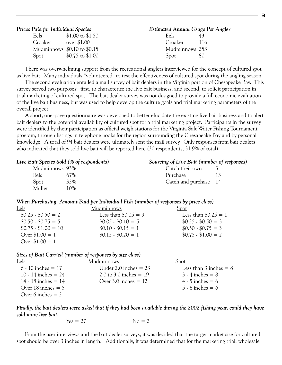|         | Prices Paid for Individual Species | Estimated Annual Usage Per Angler |                |     |
|---------|------------------------------------|-----------------------------------|----------------|-----|
| Eels    | $$1.00 \text{ to } $1.50$          |                                   | Eels           | 43  |
| Croaker | over \$1.00                        |                                   | Croaker        | 116 |
|         | Mudminnows \$0.10 to \$0.15        |                                   | Mudminnows 253 |     |
| Spot    | $$0.75$$ to $$1.00$                |                                   | Spot           | 80  |

There was overwhelming support from the recreational anglers interviewed for the concept of cultured spot as live bait. Many individuals "volunteered" to test the effectiveness of cultured spot during the angling season.

The second evaluation entailed a mail survey of bait dealers in the Virginia portion of Chesapeake Bay. This survey served two purposes: first, to characterize the live bait business; and second, to solicit participation in trial marketing of cultured spot. The bait dealer survey was not designed to provide a full economic evaluation of the live bait business, but was used to help develop the culture goals and trial marketing parameters of the overall project.

A short, one-page questionnaire was developed to better elucidate the existing live bait business and to alert bait dealers to the potential availability of cultured spot for a trial marketing project. Participants in the survey were identified by their participation as official weigh stations for the Virginia Salt Water Fishing Tournament program, through listings in telephone books for the region surrounding the Chesapeake Bay and by personal knowledge. A total of 94 bait dealers were ultimately sent the mail survey. Only responses from bait dealers who indicated that they sold live bait will be reported here (30 respondents, 31.9% of total).

| Live Bait Species Sold (% of respondents) |                       | Sourcing of Live Bait (number of responses) |  |  |
|-------------------------------------------|-----------------------|---------------------------------------------|--|--|
| Mudminnows 93%                            | Catch their own       |                                             |  |  |
| Eels<br>67%                               | Purchase              | 13                                          |  |  |
| 33%<br>Spot                               | Catch and purchase 14 |                                             |  |  |
| Mullet<br>10%                             |                       |                                             |  |  |

*When Purchasing, Amount Paid per Individual Fish (number of responses by price class)*

| Eels                     | Mudminnows              | Spot                    |
|--------------------------|-------------------------|-------------------------|
| $$0.25 \cdot $0.50 = 2$  | Less than $$0.05 = 9$   | Less than $$0.25 = 1$   |
| $$0.50 \cdot $0.75 = 5$  | $$0.05 \cdot $0.10 = 5$ | $$0.25 \cdot $0.50 = 3$ |
| $$0.75 \cdot $1.00 = 10$ | $$0.10 \cdot $0.15 = 1$ | $$0.50 \cdot $0.75 = 3$ |
| Over $$1.00 = 1$         | $$0.15 \cdot $0.20 = 1$ | $$0.75 \cdot $1.00 = 2$ |
| Over $$1.00 = 1$         |                         |                         |

*Sizes of Bait Carried (number of responses by size class)*

| Eels                   | Mudminnows               | Spot                       |
|------------------------|--------------------------|----------------------------|
| $6 - 10$ inches $= 17$ | Under 2.0 inches $= 23$  | Less than $3$ inches $= 8$ |
| 10 - 14 inches $= 24$  | 2.0 to 3.0 inches $= 19$ | $3 - 4$ inches $= 8$       |
| 14 - 18 inches $= 14$  | Over 3.0 inches $= 12$   | $4 - 5$ inches = 6         |
| Over 18 inches $= 5$   |                          | $5 - 6$ inches = 6         |
| Over 6 inches $= 2$    |                          |                            |

*Finally, the bait dealers were asked that if they had been available during the 2002 fishing year, could they have sold more live bait.*

$$
Yes = 27
$$
  $No = 2$ 

From the user interviews and the bait dealer surveys, it was decided that the target market size for cultured spot should be over 3 inches in length. Additionally, it was determined that for the marketing trial, wholesale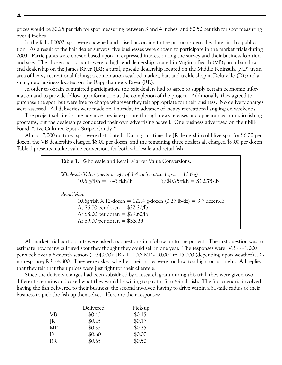prices would be \$0.25 per fish for spot measuring between 3 and 4 inches, and \$0.50 per fish for spot measuring over 4 inches.

In the fall of 2002, spot were spawned and raised according to the protocols described later in this publication. As a result of the bait dealer surveys, five businesses were chosen to participate in the market trials during 2003. Participants were chosen based upon an expressed interest during the survey and their business location and size. The chosen participants were: a high-end dealership located in Virginia Beach (VB); an urban, lowend dealership on the James River (JR); a rural, upscale dealership located on the Middle Peninsula (MP) in an area of heavy recreational fishing; a combination seafood market, bait and tackle shop in Deltaville (D); and a small, new business located on the Rappahannock River (RR).

In order to obtain committed participation, the bait dealers had to agree to supply certain economic information and to provide follow-up information at the completion of the project. Additionally, they agreed to purchase the spot, but were free to charge whatever they felt appropriate for their business. No delivery charges were assessed. All deliveries were made on Thursday in advance of heavy recreational angling on weekends.

The project solicited some advance media exposure through news releases and appearances on radio fishing programs, but the dealerships conducted their own advertising as well. One business advertised on their billboard, "Live Cultured Spot - Striper Candy!"

Almost 7,000 cultured spot were distributed. During this time the JR dealership sold live spot for \$6.00 per dozen, the VB dealership charged \$8.00 per dozen, and the remaining three dealers all charged \$9.00 per dozen. Table 1 presents market value conversions for both wholesale and retail fish.

| Table 1. Wholesale and Retail Market Value Conversions.                                                                                                                                          |
|--------------------------------------------------------------------------------------------------------------------------------------------------------------------------------------------------|
| Wholesale Value (mean weight of 3-4 inch cultured spot = $10.6 g$ )<br>@ $$0.25$ /fish = $$10.75$ /lb<br>10.6 g/fish = $-43$ fish/lb                                                             |
| Retail Value<br>$10.6$ g/fish X 12/dozen = 122.4 g/dozen (0.27 lb/dz) = 3.7 dozen/lb<br>At $$6.00$ per dozen = $$22.20/b$<br>At $$8.00$ per dozen = $$29.60/h$<br>At \$9.00 per dozen = $$33.33$ |

All market trial participants were asked six questions in a follow-up to the project. The first question was to estimate how many cultured spot they thought they could sell in one year. The responses were:  $VB -1,000$ per week over a 6-month season (~24,000); JR - 10,000; MP - 10,000 to 15,000 (depending upon weather); D no response; RR - 4,800. They were asked whether their prices were too low, too high, or just right. All replied that they felt that their prices were just right for their clientele.

Since the delivery charges had been subsidized by a research grant during this trial, they were given two different scenarios and asked what they would be willing to pay for 3 to 4-inch fish. The first scenario involved having the fish delivered to their business; the second involved having to drive within a 50-mile radius of their business to pick the fish up themselves. Here are their responses:

|           | Delivered | Pick-up |
|-----------|-----------|---------|
| <b>VB</b> | \$0.45    | \$0.15  |
| <b>IR</b> | \$0.25    | \$0.17  |
| <b>MP</b> | \$0.35    | \$0.25  |
| D         | \$0.60    | \$0.00  |
| <b>RR</b> | \$0.65    | \$0.50  |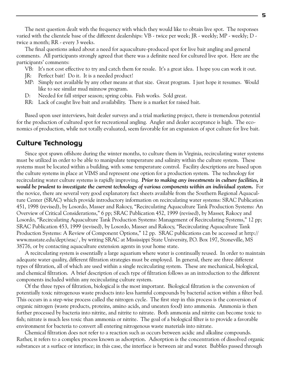The next question dealt with the frequency with which they would like to obtain live spot. The responses varied with the clientele base of the different dealerships: VB - twice per week; JR - weekly; MP - weekly; D twice a month; RR - every 3 weeks.

The final questions asked about a need for aquaculture-produced spot for live bait angling and general comments. All participants strongly agreed that there was a definite need for cultured live spot. Here are the participants' comments:

- VB: It's not cost effective to try and catch them for resale. It's a great idea. I hope you can work it out.
- JR: Perfect bait! Do it. It is a needed product!
- MP: Simply not available by any other means at that size. Great program. I just hope it resumes. Would like to see similar mud minnow program.
- D: Needed for fall striper season; spring cobia. Fish works. Sold great.
- RR: Lack of caught live bait and availability. There is a market for raised bait.

Based upon user interviews, bait dealer surveys and a trial marketing project, there is tremendous potential for the production of cultured spot for recreational angling. Angler and dealer acceptance is high. The economics of production, while not totally evaluated, seem favorable for an expansion of spot culture for live bait.

#### **Culture Technology**

Since spot spawn offshore during the winter months, to culture them in Virginia, recirculating water systems must be utilized in order to be able to manipulate temperature and salinity within the culture system. These systems must be located within a building, with some temperature control. Facility descriptions are based upon the culture systems in place at VIMS and represent one option for a production system. The technology for recirculating water culture systems is rapidly improving. *Prior to making any investments in culture facilities, it would be prudent to investigate the current technology of various components within an individual system.* For the novice, there are several very good explanatory fact sheets available from the Southern Regional Aquaculture Center (SRAC) which provide introductory information on recirculating water systems: SRAC Publication 451, 1998 (revised), by Losordo, Masser and Rakocy, "Recirculating Aquaculture Tank Production Systems: An Overview of Critical Considerations," 6 pp; SRAC Publication 452, 1999 (revised), by Masser, Rakocy and Losordo, "Recirculating Aquaculture Tank Production Systems: Management of Recirculating Systems," 12 pp; SRAC Publication 453, 1999 (revised), by Losordo, Masser and Rakocy, "Recirculating Aquaculture Tank Production Systems: A Review of Component Options," 12 pp. SRAC publications can be accessed at http:// www.msstate.edu/dept/srac/ , by writing SRAC at Mississippi State University, P.O. Box 197, Stoneville, MS 38776, or by contacting aquaculture extension agents in your home state.

A recirculating system is essentially a large aquarium where water is continually reused. In order to maintain adequate water quality, different filtration strategies must be employed. In general, there are three different types of filtration, all of which are used within a single recirculating system. These are mechanical, biological, and chemical filtration. A brief description of each type of filtration follows as an introduction to the different components included within any recirculating culture system.

Of the three types of filtration, biological is the most important. Biological filtration is the conversion of potentially toxic nitrogenous waste products into less harmful compounds by bacterial action within a filter bed. This occurs in a step-wise process called the nitrogen cycle. The first step in this process is the conversion of organic nitrogen (waste products, proteins, amino acids, and uneaten food) into ammonia. Ammonia is then further processed by bacteria into nitrite, and nitrite to nitrate. Both ammonia and nitrite can become toxic to fish; nitrate is much less toxic than ammonia or nitrite. The goal of a biological filter is to provide a favorable environment for bacteria to convert all entering nitrogenous waste materials into nitrate.

Chemical filtration does not refer to a reaction such as occurs between acidic and alkaline compounds. Rather, it refers to a complex process known as adsorption. Adsorption is the concentration of dissolved organic substances at a surface or interface; in this case, the interface is between air and water. Bubbles passed through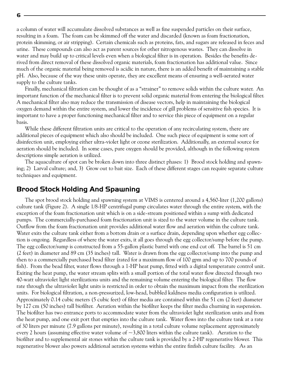a column of water will accumulate dissolved substances as well as fine suspended particles on their surface, resulting in a foam. The foam can be skimmed off the water and discarded (known as foam fractionation, protein skimming, or air stripping). Certain chemicals such as proteins, fats, and sugars are released in feces and urine. These compounds can also act as parent sources for other nitrogenous wastes. They can dissolve in water and may build up to critical levels even when a biological filter is in operation. Besides the benefits derived from direct removal of these dissolved organic materials, foam fractionation has additional value. Since much of the organic material being removed is acidic in nature, there is an added benefit of maintaining a stable pH. Also, because of the way these units operate, they are excellent means of ensuring a well-aerated water supply to the culture tanks.

Finally, mechanical filtration can be thought of as a "strainer" to remove solids within the culture water. An important function of the mechanical filter is to prevent solid organic material from entering the biological filter. A mechanical filter also may reduce the transmission of disease vectors, help in maintaining the biological oxygen demand within the entire system, and lower the incidence of gill problems of sensitive fish species. It is important to have a proper functioning mechanical filter and to service this piece of equipment on a regular basis.

While these different filtration units are critical to the operation of any recirculating system, there are additional pieces of equipment which also should be included. One such piece of equipment is some sort of disinfection unit, employing either ultra-violet light or ozone sterilization. Additionally, an external source for aeration should be included. In some cases, pure oxygen should be provided, although in the following system descriptions simple aeration is utilized.

The aquaculture of spot can be broken down into three distinct phases: 1) Brood stock holding and spawning; 2) Larval culture; and, 3) Grow out to bait size. Each of these different stages can require separate culture techniques and equipment.

#### **Brood Stock Holding And Spawning**

The spot brood stock holding and spawning system at VIMS is centered around a 4,560-liter (1,200 gallons) culture tank (Figure 2). A single 1/8-HP centrifugal pump circulates water through the entire system, with the exception of the foam fractionation unit which is on a side-stream positioned within a sump with dedicated pumps. The commercially-purchased foam fractionation unit is sized to the water volume in the culture tank. Outflow from the foam fractionation unit provides additional water flow and aeration within the culture tank. Water exits the culture tank either from a bottom drain or a surface drain, depending upon whether egg collection is ongoing. Regardless of where the water exits, it all goes through the egg collector/sump before the pump. The egg collector/sump is constructed from a 55-gallon plastic barrel with one end cut off. The barrel is 51 cm (2 feet) in diameter and 89 cm (35 inches) tall. Water is drawn from the egg collector/sump into the pump and then to a commercially purchased bead filter (rated for a maximum flow of 100 gpm and up to 700 pounds of fish). From the bead filter, water flows through a 1-HP heat pump, fitted with a digital temperature control unit. Exiting the heat pump, the water stream splits with a small portion of the total water flow directed through two 40-watt ultraviolet light sterilizations units and the remaining volume entering the biological filter. The flow rate through the ultraviolet light units is restricted in order to obtain the maximum impact from the sterilization units. For biological filtration, a non-pressurized, low-head, bubbled kaldness media configuration is utilized. Approximately 0.14 cubic meters (5 cubic feet) of filter media are contained within the 51 cm (2 feet) diameter by 127 cm (50 inches) tall biofilter. Aeration within the biofilter keeps the filter media churning in suspension. The biofilter has two entrance ports to accommodate water from the ultraviolet light sterilization units and from the heat pump, and one exit port that empties into the culture tank. Water flows into the culture tank at a rate of 30 liters per minute (7.9 gallons per minute), resulting in a total culture volume replacement approximately every 2 hours (assuming effective water volume of  $\sim$ 3,800 liters within the culture tank). Aeration to the biofilter and to supplemental air stones within the culture tank is provided by a 2-HP regenerative blower. This regenerative blower also powers additional aeration systems within the entire finfish culture facility. As an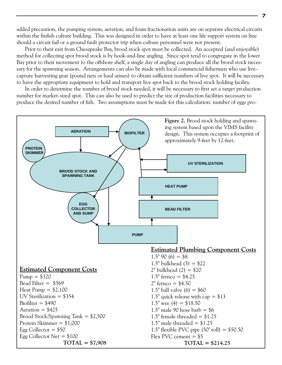added precaution, the pumping system, aeration, and foam fractionation units are on separate electrical circuits within the finfish culture building. This was designed in order to have at least one life support system on line should a circuit fail or a ground fault protector trip when culture personnel were not present.

Prior to their exit from Chesapeake Bay, brood stock spot must be collected. An accepted (and enjoyable) method for collecting spot brood stock is by hook-and-line angling. Since spot tend to congregate in the lower Bay prior to their movement to the offshore shelf, a single day of angling can produce all the brood stock necessary for the spawning season. Arrangements can also be made with local commercial fishermen who use livecapture harvesting gear (pound nets or haul seines) to obtain sufficient numbers of live spot. It will be necessary to have the appropriate equipment to hold and transport live spot back to the brood stock holding facility.

In order to determine the number of brood stock needed, it will be necessary to first set a target production number for market-sized spot. This can also be used to predict the size of production facilities necessary to produce the desired number of fish. Two assumptions must be made for this calculation: number of eggs pro-

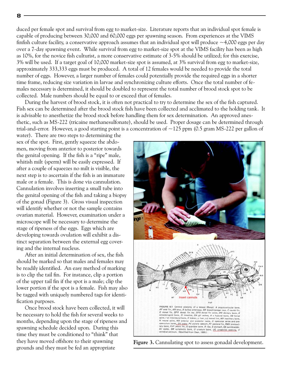duced per female spot and survival from egg to market-size. Literature reports that an individual spot female is capable of producing between 30,000 and 60,000 eggs per spawning season. From experiences at the VIMS finfish culture facility, a conservative approach assumes that an individual spot will produce  $\sim$ 4,000 eggs per day over a 7-day spawning event. While survival from egg to market-size spot at the VIMS facility has been as high as 10%, for the novice fish culturist, a more conservative estimate of 3-5% should be utilized; for this exercise, 3% will be used. If a target goal of 10,000 market-size spot is assumed, at 3% survival from egg to market-size, approximately 333,333 eggs must be produced. A total of 12 females would be needed to provide the total number of eggs. However, a larger number of females could potentially provide the required eggs in a shorter time frame, reducing size variation in larvae and synchronizing culture efforts. Once the total number of females necessary is determined, it should be doubled to represent the total number of brood stock spot to be collected. Male numbers should be equal to or exceed that of females.

During the harvest of brood stock, it is often not practical to try to determine the sex of the fish captured. Fish sex can be determined after the brood stock fish have been collected and acclimated to the holding tank. It is advisable to anesthetize the brood stock before handling them for sex determination. An approved anesthetic, such as MS-222 (tricaine methanesulfonate), should be used. Proper dosage can be determined through trial-and-error. However, a good starting point is a concentration of  $\sim$ 125 ppm (0.5 gram MS-222 per gallon of

water). There are two steps to determining the sex of the spot. First, gently squeeze the abdomen, moving from anterior to posterior towards the genital opening. If the fish is a "ripe" male, whitish milt (sperm) will be easily expressed. If after a couple of squeezes no milt is visible, the next step is to ascertain if the fish is an immature male or a female. This is done via cannulation. Cannulation involves inserting a small tube into the genital opening of the fish and taking a biopsy of the gonad (Figure 3). Gross visual inspection will identify whether or not the sample contains ovarian material. However, examination under a microscope will be necessary to determine the stage of ripeness of the eggs. Eggs which are developing towards ovulation will exhibit a distinct separation between the external egg covering and the internal nucleus.

After an initial determination of sex, the fish should be marked so that males and females may be readily identified. An easy method of marking is to clip the tail fin. For instance, clip a portion of the upper tail fin if the spot is a male; clip the lower portion if the spot is a female. Fish may also be tagged with uniquely numbered tags for identification purposes.

Once brood stock have been collected, it will be necessary to hold the fish for several weeks to months, depending upon the stage of ripeness and spawning schedule decided upon. During this time they must be conditioned to "think" that they have moved offshore to their spawning grounds and they must be fed an appropriate



**Figure 3.** Cannulating spot to assess gonadal development.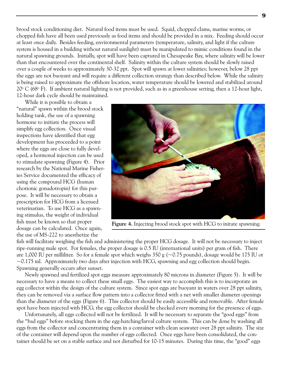brood stock conditioning diet. Natural food items must be used. Squid, chopped clams, marine worms, or chopped fish have all been used previously as food items and should be provided in a mix. Feeding should occur at least once daily. Besides feeding, environmental parameters (temperature, salinity, and light if the culture system is housed in a building without natural sunlight) must be manipulated to mimic conditions found in the natural spawning grounds. Initially, spot will have been captured in Chesapeake Bay, where salinity will be lower than that encountered over the continental shelf. Salinity within the culture system should be slowly raised over a couple of weeks to approximately 30-32 ppt. Spot will spawn at lower salinities; however, below 28 ppt the eggs are not buoyant and will require a different collection strategy than described below. While the salinity is being raised to approximate the offshore location, water temperature should be lowered and stabilized around 20° C (68° F). If ambient natural lighting is not provided, such as in a greenhouse setting, then a 12-hour light, 12-hour dark cycle should be maintained.

While it is possible to obtain a "natural" spawn within the brood stock holding tank, the use of a spawning hormone to initiate the process will simplify egg collection. Once visual inspections have identified that egg development has proceeded to a point where the eggs are close to fully developed, a hormonal injection can be used to stimulate spawning (Figure 4). Prior research by the National Marine Fisheries Service documented the efficacy of using the compound HCG (human chorionic gonadotropin) for this purpose. It will be necessary to obtain a prescription for HCG from a licensed veterinarian. To use HCG as a spawning stimulus, the weight of individual fish must be known so that proper dosage can be calculated. Once again, the use of MS-222 to anesthetize the



**Figure 4.** Injecting brood stock spot with HCG to initate spawning.

fish will facilitate weighing the fish and administering the proper HCG dosage. It will not be necessary to inject ripe-running male spot. For females, the proper dosage is 0.5 IU (international units) per gram of fish. There are 1,000 IU per milliliter. So for a female spot which weighs 350 g (~0.75 pounds), dosage would be 175 IU or  $\sim$ 0.175 ml. Approximately two days after injection with HCG, spawning and egg collection should begin. Spawning generally occurs after sunset.

Newly spawned and fertilized spot eggs measure approximately 80 microns in diameter (Figure 5). It will be necessary to have a means to collect these small eggs. The easiest way to accomplish this is to incorporate an egg collector within the design of the culture system. Since spot eggs are buoyant in waters over 28 ppt salinity, they can be removed via a surface flow pattern into a collector fitted with a net with smaller diameter openings than the diameter of the eggs (Figure 6). This collector should be easily accessible and removable. After female spot have been injected with HCG, the egg collector should be checked every morning for the presence of eggs.

Unfortunately, all eggs collected will not be fertilized. It will be necessary to separate the "good eggs" from the "bad eggs" before stocking them in the egg-hatching/larval culture system. This can be done by washing all eggs from the collector and concentrating them in a container with clean seawater over 28 ppt salinity. The size of the container will depend upon the number of eggs collected. Once eggs have been consolidated, the container should be set on a stable surface and not disturbed for 10-15 minutes. During this time, the "good" eggs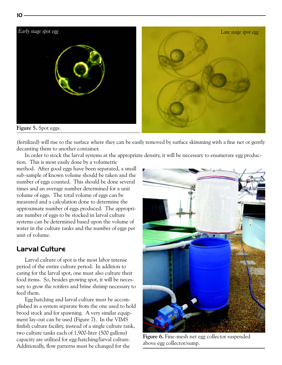

(fertilized) will rise to the surface where they can be easily removed by surface skimming with a fine net or gently decanting them to another container.

In order to stock the larval systems at the appropriate density, it will be necessary to enumerate egg produc-

tion. This is most easily done by a volumetric method. After good eggs have been separated, a small sub-sample of known volume should be taken and the number of eggs counted. This should be done several times and an average number determined for a unit volume of eggs. The total volume of eggs can be measured and a calculation done to determine the approximate number of eggs produced. The appropriate number of eggs to be stocked in larval culture systems can be determined based upon the volume of water in the culture tanks and the number of eggs per unit of volume.

# **Larval Culture**

Larval culture of spot is the most labor intense period of the entire culture period. In addition to caring for the larval spot, one must also culture their food items. So, besides growing spot, it will be necessary to grow the rotifers and brine shrimp necessary to feed them.

Egg hatching and larval culture must be accomplished in a system separate from the one used to hold brood stock and for spawning. A very similar equipment lay-out can be used (Figure 7). In the VIMS finfish culture facility, instead of a single culture tank, two culture tanks each of 1,900-liter (500 gallons) capacity are utilized for egg-hatching/larval culture. Additionally, flow patterns must be changed for the



**Figure 6.** Fine-mesh net egg collector suspended above egg collector/sump.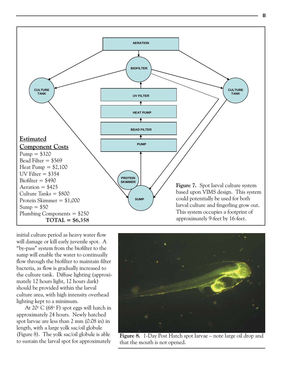

initial culture period as heavy water flow will damage or kill early juvenile spot. A "by-pass" system from the biofilter to the sump will enable the water to continually flow through the biofilter to maintain filter bacteria, as flow is gradually increased to the culture tank. Diffuse lighting (approximately 12 hours light, 12 hours dark) should be provided within the larval culture area, with high intensity overhead lighting kept to a minimum.

At 20° C (68° F) spot eggs will hatch in approximately 24 hours. Newly hatched spot larvae are less than 2 mm (0.08 in) in length, with a large yolk sac/oil globule (Figure 8). The yolk sac/oil globule is able to sustain the larval spot for approximately



**Figure 8.** 1-Day Post Hatch spot larvae – note large oil drop and that the mouth is not opened.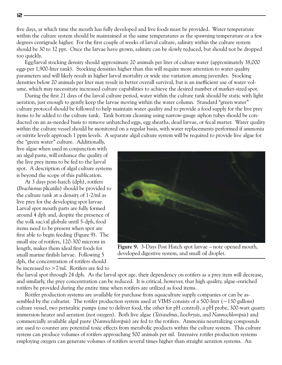five days, at which time the mouth has fully developed and live foods must be provided. Water temperature within the culture system should be maintained at the same temperatures as the spawning temperature or a few degrees centigrade higher. For the first couple of weeks of larval culture, salinity within the culture system should be 30 to 32 ppt. Once the larvae have grown, salinity can be slowly reduced, but should not be dropped too quickly.

Egg/larval stocking density should approximate 20 animals per liter of culture water (approximately 38,000 eggs per 1,900-liter tank). Stocking densities higher than this will require more attention to water quality parameters and will likely result in higher larval mortality or wide size variation among juveniles. Stocking densities below 20 animals per liter may result in better overall survival, but is an inefficient use of water volume, which may necessitate increased culture capabilities to achieve the desired number of market-sized spot.

During the first 21 days of the larval culture period, water within the culture tank should be static with light aeration, just enough to gently keep the larvae moving within the water column. Standard "green water" culture protocol should be followed to help maintain water quality and to provide a food supply for the live prey items to be added to the culture tank. Tank bottom cleaning using narrow-gauge siphon tubes should be conducted on an as-needed basis to remove unhatched eggs, egg sheaths, dead larvae, or fecal matter. Water quality within the culture vessel should be monitored on a regular basis, with water replacements performed if ammonia or nitrite levels approach 1 ppm levels. A separate algal culture system will be required to provide live algae for

the "green water" culture. Additionally, live algae when used in conjunction with an algal paste, will enhance the quality of the live prey items to be fed to the larval spot. A description of algal culture systems is beyond the scope of this publication.

At 3 days post-hatch (dph), rotifers (*Brachionus plicatilis*) should be provided to the culture tank at a density of 1-2/ml as live prey for the developing spot larvae. Larval spot mouth parts are fully formed around 4 dph and, despite the presence of the yolk sac/oil globule until 5-dph, food items need to be present when spot are first able to begin feeding (Figure 9). The small size of rotifers, 120-300 microns in length, makes them ideal first foods for small marine finfish larvae. Following 5 dph, the concentration of rotifers should be increased to >7/ml. Rotifers are fed to



**Figure 9.** 3-Days Post Hatch spot larvae – note opened mouth, developed digestive system, and small oil droplet.

the larval spot through 24 dph. As the larval spot age, their dependency on rotifers as a prey item will decrease, and similarly, the prey concentration can be reduced. It is critical, however, that high quality, algae-enriched rotifers be provided during the entire time when rotifers are utilized as food items.

Rotifer production systems are available for purchase from aquaculture supply companies or can be assembled by the culturist. The rotifer production system used at VIMS consists of a 500-liter  $\left(\sim$ 130 gallons) culture vessel, two peristaltic pumps (one to deliver food, the other for pH control), a pH probe, 300-watt quartz immersion heater and aeration (not oxygen). Both live algae (*Tetraselmis*, *Isochrysis*, and *Nannochloropsis*) and commercially available algal paste (*Nannochloropsis*) are fed to the rotifers. Ammonia neutralizing compounds are used to counter any potential toxic effects from metabolic products within the culture system. This culture system can produce volumes of rotifers approaching 500 animals per ml. Intensive rotifer production systems employing oxygen can generate volumes of rotifers several times higher than straight aeration systems. An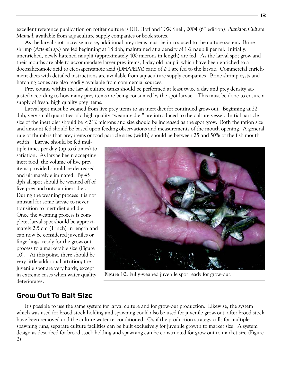excellent reference publication on rotifer culture is F.H. Hoff and T.W. Snell, 2004 (6<sup>th</sup> edition), *Plankton Culture Manual*, available from aquaculture supply companies or book stores.

As the larval spot increase in size, additional prey items must be introduced to the culture system. Brine shrimp (*Artemia sp.*) are fed beginning at 18 dph, maintained at a density of 1-2 nauplii per ml. Initially, unenriched, newly hatched nauplii (approximately 400 microns in length) are fed. As the larval spot grow and their mouths are able to accommodate larger prey items, 1-day old nauplii which have been enriched to a docosahexanoic acid to eicosapentanoic acid (DHA/EPA) ratio of 2:1 are fed to the larvae. Commercial enrichment diets with detailed instructions are available from aquaculture supply companies. Brine shrimp cysts and hatching cones are also readily available from commercial sources.

Prey counts within the larval culture tanks should be performed at least twice a day and prey density adjusted according to how many prey items are being consumed by the spot larvae. This must be done to ensure a supply of fresh, high quality prey items.

Larval spot must be weaned from live prey items to an inert diet for continued grow-out. Beginning at 22 dph, very small quantities of a high quality "weaning diet" are introduced to the culture vessel. Initial particle size of the inert diet should be  $\leq 212$  microns and size should be increased as the spot grow. Both the ration size and amount fed should be based upon feeding observations and measurements of the mouth opening. A general rule of thumb is that prey items or food particle sizes (width) should be between 25 and 50% of the fish mouth

width. Larvae should be fed multiple times per day (up to 6 times) to satiation. As larvae begin accepting inert food, the volume of live prey items provided should be decreased and ultimately eliminated. By 45 dph all spot should be weaned off of live prey and onto an inert diet. During the weaning process it is not unusual for some larvae to never transition to inert diet and die. Once the weaning process is complete, larval spot should be approximately 2.5 cm (1 inch) in length and can now be considered juveniles or fingerlings, ready for the grow-out process to a marketable size (Figure 10). At this point, there should be very little additional attrition; the juvenile spot are very hardy, except in extreme cases when water quality deteriorates.



**Figure 10.** Fully-weaned juvenile spot ready for grow-out.

### **Grow Out To Bait Size**

It's possible to use the same system for larval culture and for grow-out production. Likewise, the system which was used for brood stock holding and spawning could also be used for juvenile grow-out, after brood stock have been removed and the culture water re-conditioned. Or, if the production strategy calls for multiple spawning runs, separate culture facilities can be built exclusively for juvenile growth to market size. A system design as described for brood stock holding and spawning can be constructed for grow out to market size (Figure 2).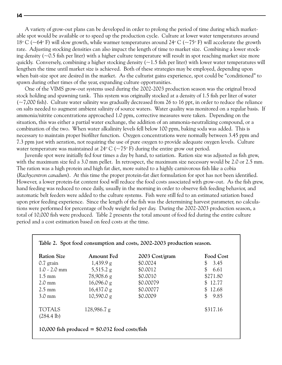A variety of grow-out plans can be developed in order to prolong the period of time during which marketable spot would be available or to speed up the production cycle. Culture at lower water temperatures around 18<sup>o</sup> C ( $\sim$ 64<sup>o</sup> F) will slow growth, while warmer temperatures around 24<sup>o</sup> C ( $\sim$ 75<sup>o</sup> F) will accelerate the growth rate. Adjusting stocking densities can also impact the length of time to market size. Combining a lower stocking density ( $\sim$ 0.5 fish per liter) with a higher culture temperature will result in spot reaching market size more quickly. Conversely, combining a higher stocking density  $(-1.5$  fish per liter) with lower water temperatures will lengthen the time until market size is achieved. Both of these strategies may be employed, depending upon when bait-size spot are desired in the market. As the culturist gains experience, spot could be "conditioned" to spawn during other times of the year, expanding culture opportunities.

One of the VIMS grow-out systems used during the 2002-2003 production season was the original brood stock holding and spawning tank. This system was originally stocked at a density of 1.5 fish per liter of water  $(-7,000$  fish). Culture water salinity was gradually decreased from 26 to 16 ppt, in order to reduce the reliance on salts needed to augment ambient salinity of source waters. Water quality was monitored on a regular basis. If ammonia/nitrite concentrations approached 1.0 ppm, corrective measures were taken. Depending on the situation, this was either a partial water exchange, the addition of an ammonia-neutralizing compound, or a combination of the two. When water alkalinity levels fell below 100 ppm, baking soda was added. This is necessary to maintain proper biofilter function. Oxygen concentrations were normally between 3.45 ppm and 7.3 ppm just with aeration, not requiring the use of pure oxygen to provide adequate oxygen levels. Culture water temperature was maintained at 24° C (~75° F) during the entire grow out period.

Juvenile spot were initially fed four times a day by hand, to satiation. Ration size was adjusted as fish grew, with the maximum size fed a 3.0 mm pellet. In retrospect, the maximum size necessary would be 2.0 or 2.5 mm. The ration was a high protein and high fat diet, more suited to a highly carnivorous fish like a cobia (*Rachycentron canadum*). At this time the proper protein-fat diet formulation for spot has not been identified. However, a lower protein-fat content food will reduce the food costs associated with grow-out. As the fish grew, hand feeding was reduced to once daily, usually in the morning in order to observe fish feeding behavior, and automatic belt feeders were added to the culture systems. Fish were still fed to an estimated satiation based upon prior feeding experience. Since the length of the fish was the determining harvest parameter, no calculations were performed for percentage of body weight fed per day. During the 2002-2003 production season, a total of 10,000 fish were produced. Table 2 presents the total amount of food fed during the entire culture period and a cost estimation based on feed costs at the time.

| <b>Ration Size</b>                    | <b>Amount Fed</b>   | 2003 Cost/gram | Food Cost            |
|---------------------------------------|---------------------|----------------|----------------------|
| $0.7$ grain                           | 1,439.9 g           | \$0.0024       | \$3.45               |
| $1.0 - 2.0$ mm                        | $5,515.2 \text{ g}$ | \$0.0012       | \$<br>6.61           |
| $1.5 \text{ mm}$                      | 78,908.6 g          | \$0.0010       | \$271.80             |
| $2.0 \text{ mm}$                      | 16,096.0 g          | \$0.00079      | \$12.77              |
| $2.5 \text{ mm}$                      | 16,437.0 g          | \$0.00077      | \$12.68              |
| $3.0 \text{ mm}$                      | 10,590.0 g          | \$0.0009       | $\mathbb{S}$<br>9.85 |
| <b>TOTALS</b><br>$(284.4 \text{ lb})$ | 128,986.7 g         |                | \$317.16             |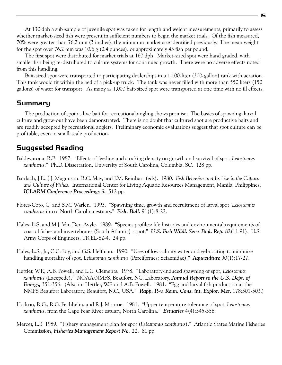At 130 dph a sub-sample of juvenile spot was taken for length and weight measurements, primarily to assess whether market-sized fish were present in sufficient numbers to begin the market trials. Of the fish measured, 70% were greater than 76.2 mm (3 inches), the minimum market size identified previously. The mean weight for the spot over 76.2 mm was  $10.6 \text{ g}$  (0.4 ounces), or approximately 43 fish per pound.

The first spot were distributed for market trials at 160 dph. Market-sized spot were hand graded, with smaller fish being re-distributed to culture systems for continued growth. There were no adverse effects noted from this handling.

Bait-sized spot were transported to participating dealerships in a 1,100-liter (300-gallon) tank with aeration. This tank would fit within the bed of a pick-up truck. The tank was never filled with more than 550 liters (150 gallons) of water for transport. As many as 1,000 bait-sized spot were transported at one time with no ill effects.

### **Summary**

The production of spot as live bait for recreational angling shows promise. The basics of spawning, larval culture and grow-out have been demonstrated. There is no doubt that cultured spot are productive baits and are readily accepted by recreational anglers. Preliminary economic evaluations suggest that spot culture can be profitable, even in small-scale production.

# **Suggested Reading**

- Baldevarona, R.B. 1987. "Effects of feeding and stocking density on growth and survival of spot, *Leiostomus xanthurus*." Ph.D. Dissertation, University of South Carolina, Columbia, SC. 128 pp.
- Bardach, J.E., J.J. Magnuson, R.C. May, and J.M. Reinhart (eds). 1980. *Fish Behavior and Its Use in the Capture and Culture of Fishes.* International Center for Living Aquatic Resources Management, Manila, Philippines, *ICLARM Conference Proceedings 5.* 512 pp.
- Flores-Coto, C. and S.M. Warlen. 1993. "Spawning time, growth and recruitment of larval spot *Leiostomus xanthurus* into a North Carolina estuary." *Fish. Bull.* 91(1):8-22.
- Hales, L.S. and M.J. Van Den Avyle. 1989. "Species profiles: life histories and environmental requirements of coastal fishes and invertebrates (South Atlantic) - spot." *U.S. Fish Wildl. Serv. Biol. Rep.* 82(11.91). U.S. Army Corps of Engineers, TR EL-82-4. 24 pp.
- Hales, L.S., Jr., C.C. Lay, and G.S. Helfman. 1990. "Uses of low-salinity water and gel-coating to minimize handling mortality of spot, *Leiostomus xanthurus* (Perciformes: Sciaenidae)." *Aquaculture* 90(1):17-27.
- Hettler, W.F., A.B. Powell, and L.C. Clements. 1978. "Laboratory-induced spawning of spot, *Leiostomus xanthurus* (Lacepede)." NOAA/NMFS, Beaufort, NC, Laboratory, *Annual Report to the U.S. Dept. of Energy,* 351-356. (Also in: Hettler, W.F. and A.B. Powell. 1981. "Egg and larval fish production at the NMFS Beaufort Laboratory, Beaufort, N.C., USA." *Rapp. P.-v. Reun. Cons. int. Explor. Mer,* 178:501-503.)
- Hodson, R.G., R.G. Fechhelm, and R.J. Monroe. 1981. "Upper temperature tolerance of spot, *Leiostomus xanthurus*, from the Cape Fear River estuary, North Carolina." *Estuaries* 4(4):345-356.
- Mercer, L.P. 1989. "Fishery management plan for spot (*Leiostomus xanthurus*)." Atlantic States Marine Fisheries Commission, *Fisheries Management Report No. 11.* 81 pp.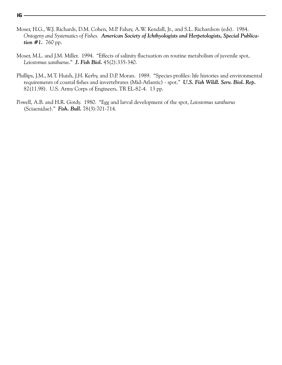- Moser, H.G., W.J. Richards, D.M. Cohen, M.P. Fahay, A.W. Kendall, Jr., and S.L. Richardson (eds). 1984. *Ontogeny and Systematics of Fishes. American Society of Ichthyologists and Herpetologists, Special Publication #1.* 760 pp.
- Moser, M.L. and J.M. Miller. 1994. "Effects of salinity fluctuation on routine metabolism of juvenile spot, *Leiostomus xanthurus*." *J. Fish Biol.* 45(2):335-340.
- Phillips, J.M., M.T. Huish, J.H. Kerby, and D.P. Moran. 1989. "Species profiles: life histories and environmental requirements of coastal fishes and invertebrates (Mid-Atlantic) - spot." *U.S. Fish Wildl. Serv. Biol. Rep.* 82(11.98). U.S. Army Corps of Engineers, TR EL-82-4. 13 pp.
- Powell, A.B. and H.R. Gordy. 1980. "Egg and larval development of the spot, *Leiostomus xanthurus* (Sciaenidae)." *Fish. Bull.* 78(3):701-714.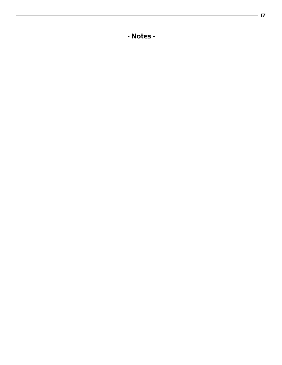**- Notes -**